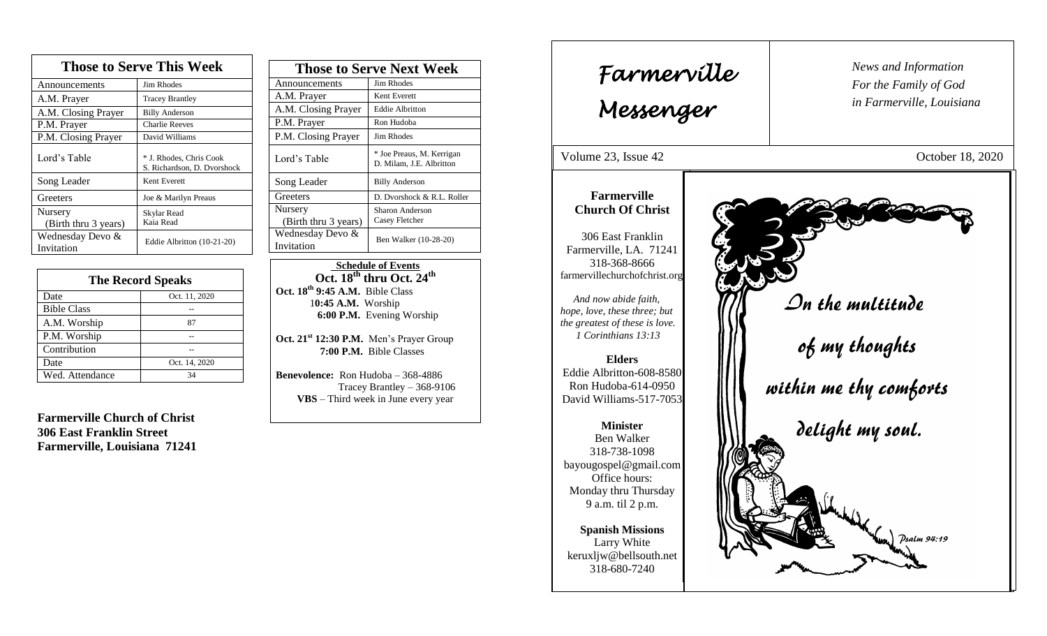| <b>Those to Serve This Week</b> |                                                        |  |
|---------------------------------|--------------------------------------------------------|--|
| Announcements                   | Jim Rhodes                                             |  |
| A.M. Prayer                     | <b>Tracey Brantley</b>                                 |  |
| A.M. Closing Prayer             | <b>Billy Anderson</b>                                  |  |
| P.M. Prayer                     | <b>Charlie Reeves</b>                                  |  |
| P.M. Closing Prayer             | David Williams                                         |  |
| Lord's Table                    | * J. Rhodes, Chris Cook<br>S. Richardson, D. Dvorshock |  |
| Song Leader                     | Kent Everett                                           |  |
| Greeters                        | Joe & Marilyn Preaus                                   |  |
| Nursery<br>(Birth thru 3 years) | Skylar Read<br>Kaia Read                               |  |
| Wednesday Devo &<br>Invitation  | Eddie Albritton (10-21-20)                             |  |

| <b>The Record Speaks</b> |               |
|--------------------------|---------------|
| Date                     | Oct. 11, 2020 |
| <b>Bible Class</b>       |               |
| A.M. Worship             | 87            |
| P.M. Worship             |               |
| Contribution             |               |
| Date                     | Oct. 14, 2020 |
| Wed. Attendance          | 34            |

**Farmerville Church of Christ 306 East Franklin Street Farmerville, Louisiana 71241**

| <b>Those to Serve Next Week</b> |                                                       |
|---------------------------------|-------------------------------------------------------|
| Announcements                   | Jim Rhodes                                            |
| A.M. Prayer                     | Kent Everett                                          |
| A.M. Closing Prayer             | <b>Eddie Albritton</b>                                |
| P.M. Prayer                     | Ron Hudoba                                            |
| P.M. Closing Prayer             | Jim Rhodes                                            |
| Lord's Table                    | * Joe Preaus, M. Kerrigan<br>D. Milam, J.E. Albritton |
| Song Leader                     | <b>Billy Anderson</b>                                 |
| Greeters                        | D. Dvorshock & R.L. Roller                            |
| Nursery<br>(Birth thru 3 years) | Sharon Anderson<br>Casey Fletcher                     |
| Wednesday Devo &<br>Invitation  | Ben Walker (10-28-20)                                 |

 **Schedule of Events Oct. 18 th thru Oct. 24th Oct. 18 th 9:45 A.M.** Bible Class 1**0:45 A.M.** Worship  **6:00 P.M.** Evening Worship

**Oct. 21st 12:30 P.M.** Men's Prayer Group **7:00 P.M.** Bible Classes

**Benevolence:** Ron Hudoba – 368-4886 Tracey Brantley – 368-9106 **VBS** – Third week in June every year